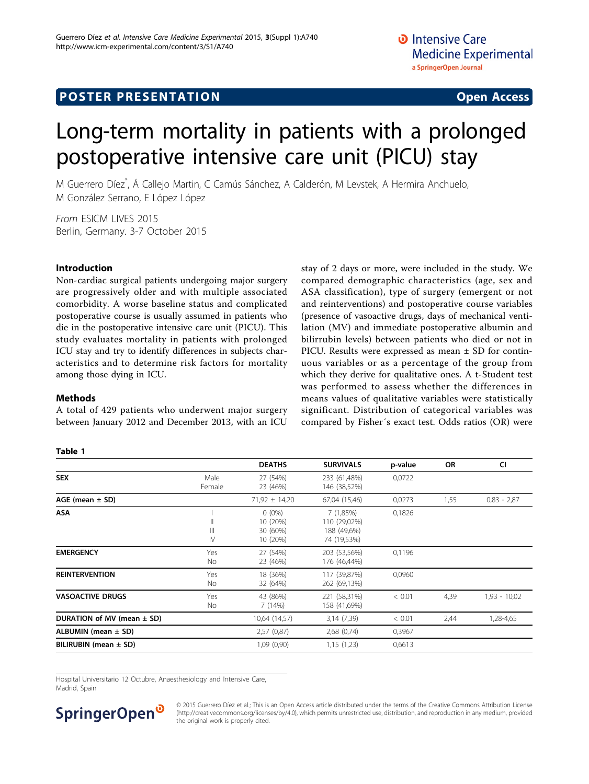# <span id="page-0-0"></span>Long-term mortality in patients with a prolonged postoperative intensive care unit (PICU) stay

M Guerrero Díez\* , Á Callejo Martin, C Camús Sánchez, A Calderón, M Levstek, A Hermira Anchuelo, M González Serrano, E López López

From ESICM LIVES 2015 Berlin, Germany. 3-7 October 2015

## Introduction

Non-cardiac surgical patients undergoing major surgery are progressively older and with multiple associated comorbidity. A worse baseline status and complicated postoperative course is usually assumed in patients who die in the postoperative intensive care unit (PICU). This study evaluates mortality in patients with prolonged ICU stay and try to identify differences in subjects characteristics and to determine risk factors for mortality among those dying in ICU.

### **Methods**

A total of 429 patients who underwent major surgery between January 2012 and December 2013, with an ICU stay of 2 days or more, were included in the study. We compared demographic characteristics (age, sex and ASA classification), type of surgery (emergent or not and reinterventions) and postoperative course variables (presence of vasoactive drugs, days of mechanical ventilation (MV) and immediate postoperative albumin and bilirrubin levels) between patients who died or not in PICU. Results were expressed as mean ± SD for continuous variables or as a percentage of the group from which they derive for qualitative ones. A t-Student test was performed to assess whether the differences in means values of qualitative variables were statistically significant. Distribution of categorical variables was compared by Fisher´s exact test. Odds ratios (OR) were

#### Table 1

|                                      |                   |                                       |                                                 |                   | CI             |
|--------------------------------------|-------------------|---------------------------------------|-------------------------------------------------|-------------------|----------------|
| <b>SEX</b><br>Male<br>Female         | 27 (54%)          | 233 (61,48%)                          | 0,0722                                          |                   |                |
|                                      | 23 (46%)          | 146 (38,52%)                          |                                                 |                   |                |
|                                      | $71,92 \pm 14,20$ | 67,04 (15,46)                         | 0,0273                                          | 1,55              | $0,83 - 2,87$  |
|                                      | $0(0\%)$          | 7 (1,85%)                             | 0,1826                                          |                   |                |
| $\mathsf{I}$                         | 10 (20%)          | 110 (29,02%)                          |                                                 |                   |                |
|                                      |                   |                                       |                                                 |                   |                |
| $\mathsf{N}$                         | 10 (20%)          | 74 (19,53%)                           |                                                 |                   |                |
| Yes                                  |                   |                                       |                                                 |                   |                |
| No                                   | 23 (46%)          | 176 (46,44%)                          |                                                 |                   |                |
| Yes                                  | 18 (36%)          | 117 (39,87%)                          | 0,0960                                          |                   |                |
| No                                   | 32 (64%)          | 262 (69,13%)                          |                                                 |                   |                |
| <b>VASOACTIVE DRUGS</b><br>Yes<br>No | 43 (86%)          | 221 (58,31%)                          | < 0.01                                          | 4,39              | $1,93 - 10,02$ |
|                                      | 7 (14%)           | 158 (41,69%)                          |                                                 |                   |                |
|                                      | 10,64 (14,57)     | 3,14 (7,39)                           | < 0.01                                          | 2,44              | 1,28-4,65      |
|                                      | 2,57(0,87)        | 2,68(0,74)                            | 0,3967                                          |                   |                |
|                                      | 1,09(0,90)        | 1,15(1,23)                            | 0,6613                                          |                   |                |
|                                      | $\mathbf{III}$    | <b>DEATHS</b><br>30 (60%)<br>27 (54%) | <b>SURVIVALS</b><br>188 (49,6%)<br>203 (53,56%) | p-value<br>0,1196 | OR             |

Hospital Universitario 12 Octubre, Anaesthesiology and Intensive Care, Madrid, Spain



© 2015 Guerrero Díez et al.; This is an Open Access article distributed under the terms of the Creative Commons Attribution License [\(http://creativecommons.org/licenses/by/4.0](http://creativecommons.org/licenses/by/4.0)), which permits unrestricted use, distribution, and reproduction in any medium, provided the original work is properly cited.